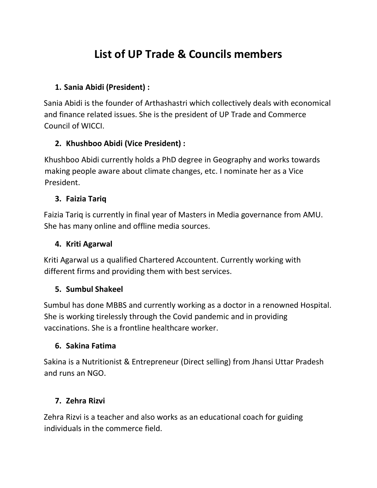# **List of UP Trade & Councils members**

#### **1. Sania Abidi (President) :**

Sania Abidi is the founder of Arthashastri which collectively deals with economical and finance related issues. She is the president of UP Trade and Commerce Council of WICCI.

# **2. Khushboo Abidi (Vice President) :**

Khushboo Abidi currently holds a PhD degree in Geography and works towards making people aware about climate changes, etc. I nominate her as a Vice President.

#### **3. Faizia Tariq**

Faizia Tariq is currently in final year of Masters in Media governance from AMU. She has many online and offline media sources.

### **4. Kriti Agarwal**

Kriti Agarwal us a qualified Chartered Accountent. Currently working with different firms and providing them with best services.

#### **5. Sumbul Shakeel**

Sumbul has done MBBS and currently working as a doctor in a renowned Hospital. She is working tirelessly through the Covid pandemic and in providing vaccinations. She is a frontline healthcare worker.

#### **6. Sakina Fatima**

Sakina is a Nutritionist & Entrepreneur (Direct selling) from Jhansi Uttar Pradesh and runs an NGO.

#### **7. Zehra Rizvi**

Zehra Rizvi is a teacher and also works as an educational coach for guiding individuals in the commerce field.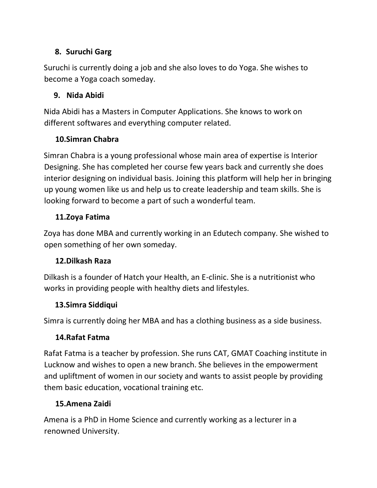# **8. Suruchi Garg**

Suruchi is currently doing a job and she also loves to do Yoga. She wishes to become a Yoga coach someday.

# **9. Nida Abidi**

Nida Abidi has a Masters in Computer Applications. She knows to work on different softwares and everything computer related.

# **10.Simran Chabra**

Simran Chabra is a young professional whose main area of expertise is Interior Designing. She has completed her course few years back and currently she does interior designing on individual basis. Joining this platform will help her in bringing up young women like us and help us to create leadership and team skills. She is looking forward to become a part of such a wonderful team.

# **11.Zoya Fatima**

Zoya has done MBA and currently working in an Edutech company. She wished to open something of her own someday.

# **12.Dilkash Raza**

Dilkash is a founder of Hatch your Health, an E-clinic. She is a nutritionist who works in providing people with healthy diets and lifestyles.

#### **13.Simra Siddiqui**

Simra is currently doing her MBA and has a clothing business as a side business.

# **14.Rafat Fatma**

Rafat Fatma is a teacher by profession. She runs CAT, GMAT Coaching institute in Lucknow and wishes to open a new branch. She believes in the empowerment and upliftment of women in our society and wants to assist people by providing them basic education, vocational training etc.

# **15.Amena Zaidi**

Amena is a PhD in Home Science and currently working as a lecturer in a renowned University.